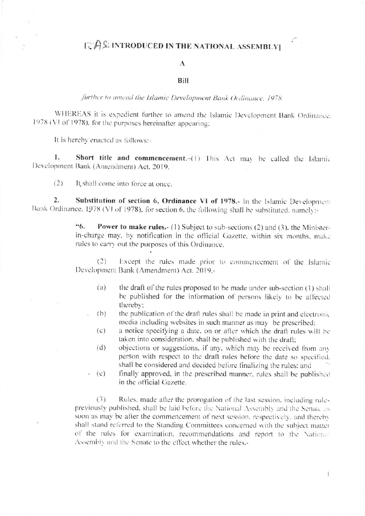## **EAS INTRODUCED IN THE NATIONAL ASSEMBLY**

## A

## Bill

further to amend the Islamic Development Bank Ordinance, 1978.

WHEREAS it is expedient further to amend the Islamic Development Bank Ordinance. 1978 (VI of 1978), for the purposes hereinafter appearing:

It is hereby enacted as follows:-

 $\mathbf{L}$ Short title and commencement.-(1) This Act may be called the Islamic Development Bank (Amendment) Act, 2019.

 $(2)$ It shall come into force at once.

Substitution of section 6, Ordinance VI of 1978.- In the Islamic Development  $\overline{2}$ . Bank Ordinance, 1978 (VI of 1978). for section 6, the following shall be substituted, namely:-

> "6. **Power to make rules.** (1) Subject to sub-sections (2) and (3), the Ministerin-charge may, by notification in the official Gazette, within six months, make rules to carry out the purposes of this Ordinance.

> Except the rules made prior to commencement of the Islamic  $(2)$ Development Bank (Amendment) Act, 2019.-

- $(a)$ the draft of the rules proposed to be made under sub-section (1) shall be published for the information of persons likely to be affected thereby:
- the publication of the draft rules shall be made in print and electronic  $(b)$ media including websites in such manner as may be prescribed;
	- a notice specifying a date, on or after which the draft rules will be  $(c)$ taken into consideration, shall be published with the draft;
- objections or suggestions, if any, which may be received from any  $(d)$ person with respect to the draft rules before the date so specified. shall be considered and decided before finalizing the rules; and
- finally approved, in the prescribed manner, rules shall be published  $(e)$ in the official Gazette.

 $(3)$ Rules, made after the prorogation of the last session, including rules previously published, shall be laid before the National Assembly and the Senate as soon as may be after the commencement of next session, respectively, and thereby shall stand referred to the Standing Committees concerned with the subject matter of the rules for examination, recommendations and report to the National Assembly and the Senate to the effect whether the rules.-

 $\mathbb{I}$